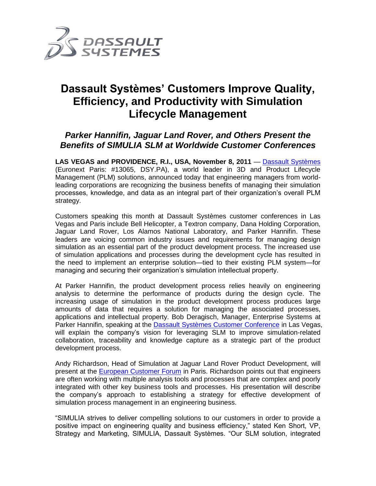

# **Dassault Systèmes' Customers Improve Quality, Efficiency, and Productivity with Simulation Lifecycle Management**

# *Parker Hannifin, Jaguar Land Rover, and Others Present the Benefits of SIMULIA SLM at Worldwide Customer Conferences*

**LAS VEGAS and PROVIDENCE, R.I., USA, November 8, 2011** — [Dassault Systèmes](http://www.3ds.com/) (Euronext Paris: #13065, DSY.PA), a world leader in 3D and Product Lifecycle Management (PLM) solutions, announced today that engineering managers from worldleading corporations are recognizing the business benefits of managing their simulation processes, knowledge, and data as an integral part of their organization's overall PLM strategy.

Customers speaking this month at Dassault Systèmes customer conferences in Las Vegas and Paris include Bell Helicopter, a Textron company, Dana Holding Corporation, Jaguar Land Rover, Los Alamos National Laboratory, and Parker Hannifin. These leaders are voicing common industry issues and requirements for managing design simulation as an essential part of the product development process. The increased use of simulation applications and processes during the development cycle has resulted in the need to implement an enterprise solution—tied to their existing PLM system—for managing and securing their organization's simulation intellectual property.

At Parker Hannifin, the product development process relies heavily on engineering analysis to determine the performance of products during the design cycle. The increasing usage of simulation in the product development process produces large amounts of data that requires a solution for managing the associated processes, applications and intellectual property. Bob Deragisch, Manager, Enterprise Systems at Parker Hannifin, speaking at the [Dassault Systèmes Customer Conference](http://www.3ds.com/company/events/dscc-2011/overview/) in Las Vegas, will explain the company's vision for leveraging SLM to improve simulation-related collaboration, traceability and knowledge capture as a strategic part of the product development process.

Andy Richardson, Head of Simulation at Jaguar Land Rover Product Development, will present at the **European Customer Forum** in Paris. Richardson points out that engineers are often working with multiple analysis tools and processes that are complex and poorly integrated with other key business tools and processes. His presentation will describe the company's approach to establishing a strategy for effective development of simulation process management in an engineering business.

"SIMULIA strives to deliver compelling solutions to our customers in order to provide a positive impact on engineering quality and business efficiency," stated Ken Short, VP, Strategy and Marketing, SIMULIA, Dassault Systèmes. "Our SLM solution, integrated